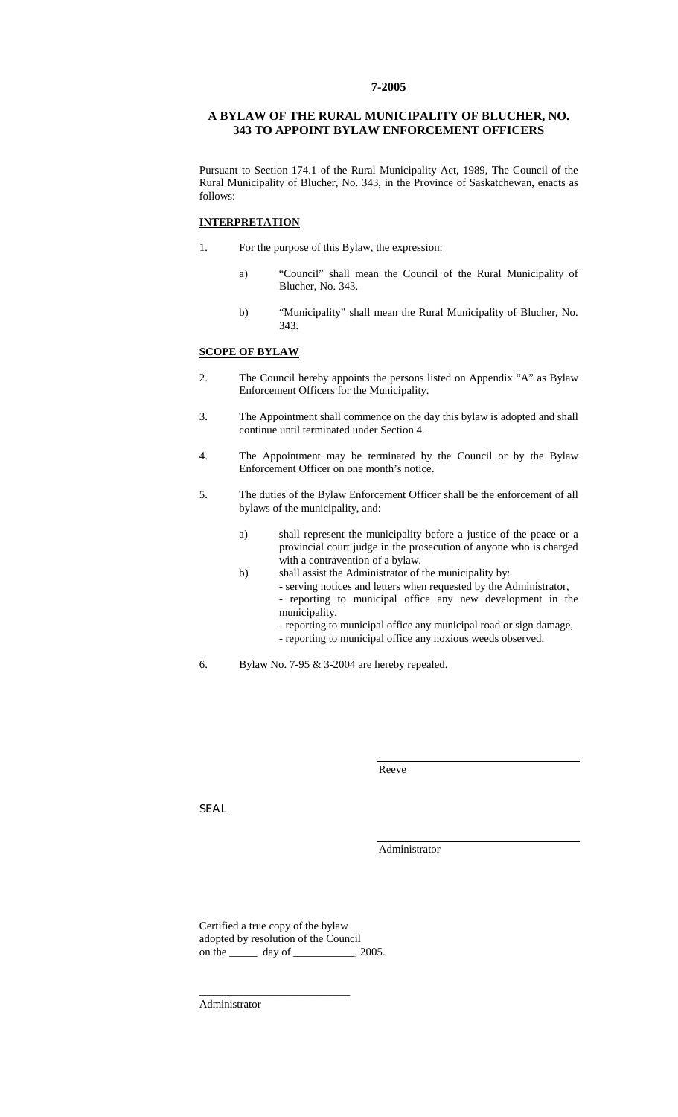### **7-2005**

#### **A BYLAW OF THE RURAL MUNICIPALITY OF BLUCHER, NO. 343 TO APPOINT BYLAW ENFORCEMENT OFFICERS**

Pursuant to Section 174.1 of the Rural Municipality Act, 1989, The Council of the Rural Municipality of Blucher, No. 343, in the Province of Saskatchewan, enacts as follows:

#### **INTERPRETATION**

- 1. For the purpose of this Bylaw, the expression:
	- a) "Council" shall mean the Council of the Rural Municipality of Blucher, No. 343.
	- b) "Municipality" shall mean the Rural Municipality of Blucher, No. 343.

## **SCOPE OF BYLAW**

- 2. The Council hereby appoints the persons listed on Appendix "A" as Bylaw Enforcement Officers for the Municipality.
- 3. The Appointment shall commence on the day this bylaw is adopted and shall continue until terminated under Section 4.
- 4. The Appointment may be terminated by the Council or by the Bylaw Enforcement Officer on one month's notice.
- 5. The duties of the Bylaw Enforcement Officer shall be the enforcement of all bylaws of the municipality, and:
	- a) shall represent the municipality before a justice of the peace or a provincial court judge in the prosecution of anyone who is charged with a contravention of a bylaw.
	- b) shall assist the Administrator of the municipality by:
		- serving notices and letters when requested by the Administrator, - reporting to municipal office any new development in the municipality,
			- reporting to municipal office any municipal road or sign damage,
			- reporting to municipal office any noxious weeds observed.
- 6. Bylaw No. 7-95 & 3-2004 are hereby repealed.

Reeve

SEAL

Administrator

Certified a true copy of the bylaw adopted by resolution of the Council on the \_\_\_\_\_\_\_\_ day of \_\_\_\_\_\_\_\_\_\_\_\_, 2005.

\_\_\_\_\_\_\_\_\_\_\_\_\_\_\_\_\_\_\_\_\_\_\_\_\_\_\_

Administrator